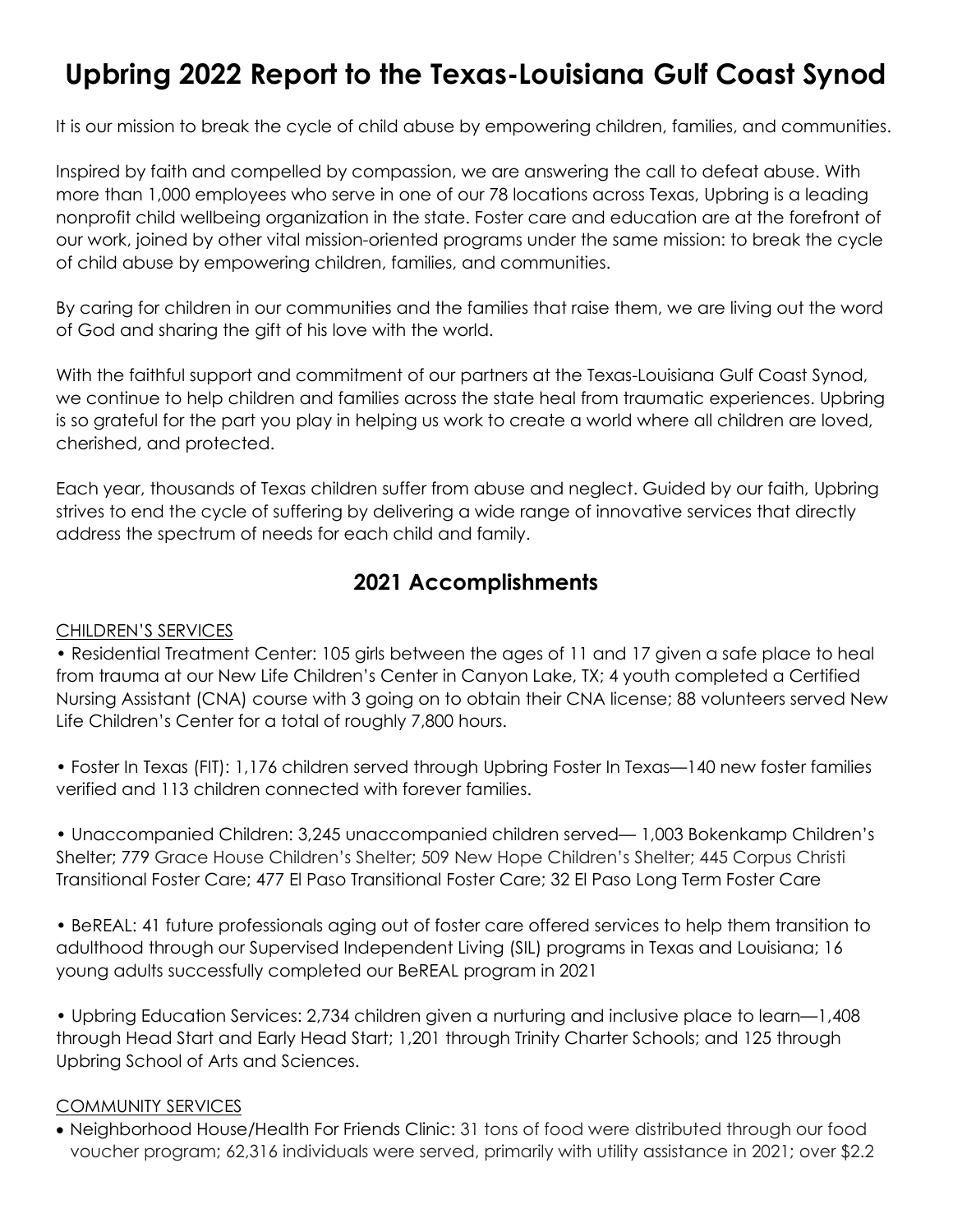# **Upbring 2022 Report to the Texas-Louisiana Gulf Coast Synod**

It is our mission to break the cycle of child abuse by empowering children, families, and communities.

Inspired by faith and compelled by compassion, we are answering the call to defeat abuse. With more than 1,000 employees who serve in one of our 78 locations across Texas, Upbring is a leading nonprofit child wellbeing organization in the state. Foster care and education are at the forefront of our work, joined by other vital mission-oriented programs under the same mission: to break the cycle of child abuse by empowering children, families, and communities.

By caring for children in our communities and the families that raise them, we are living out the word of God and sharing the gift of his love with the world.

With the faithful support and commitment of our partners at the Texas-Louisiana Gulf Coast Synod, we continue to help children and families across the state heal from traumatic experiences. Upbring is so grateful for the part you play in helping us work to create a world where all children are loved, cherished, and protected.

Each year, thousands of Texas children suffer from abuse and neglect. Guided by our faith, Upbring strives to end the cycle of suffering by delivering a wide range of innovative services that directly address the spectrum of needs for each child and family.

## **2021 Accomplishments**

### CHILDREN'S SERVICES

• Residential Treatment Center: 105 girls between the ages of 11 and 17 given a safe place to heal from trauma at our New Life Children's Center in Canyon Lake, TX; 4 youth completed a Certified Nursing Assistant (CNA) course with 3 going on to obtain their CNA license; 88 volunteers served New Life Children's Center for a total of roughly 7,800 hours.

• Foster In Texas (FIT): 1,176 children served through Upbring Foster In Texas—140 new foster families verified and 113 children connected with forever families.

• Unaccompanied Children: 3,245 unaccompanied children served— 1,003 Bokenkamp Children's Shelter; 779 Grace House Children's Shelter; 509 New Hope Children's Shelter; 445 Corpus Christi Transitional Foster Care; 477 El Paso Transitional Foster Care; 32 El Paso Long Term Foster Care

• BeREAL: 41 future professionals aging out of foster care offered services to help them transition to adulthood through our Supervised Independent Living (SIL) programs in Texas and Louisiana; 16 young adults successfully completed our BeREAL program in 2021

• Upbring Education Services: 2,734 children given a nurturing and inclusive place to learn—1,408 through Head Start and Early Head Start; 1,201 through Trinity Charter Schools; and 125 through Upbring School of Arts and Sciences.

### COMMUNITY SERVICES

• Neighborhood House/Health For Friends Clinic: 31 tons of food were distributed through our food voucher program; 62,316 individuals were served, primarily with utility assistance in 2021; over \$2.2